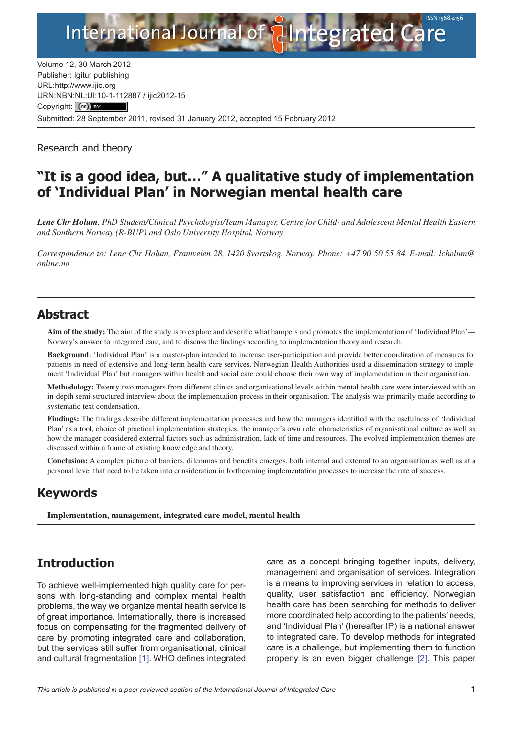

Volume 12, 30 March 2012 Publisher: Igitur publishing URL[:http://www.ijic.org](http://www.ijic.org) URN:NBN[:NL:UI:10-1-1128](http://creativecommons.org/licenses/by/3.0/)87 / ijic2012-15 Copyright: (cc) Submitted: 28 September 2011, revised 31 January 2012, accepted 15 February 2012

Research and theory

# **"It is a good idea, but…" A qualitative study of implementation of 'Individual Plan' in Norwegian mental health care**

*Lene Chr Holum, PhD Student/Clinical Psychologist/Team Manager, Centre for Child- and Adolescent Mental Health Eastern and Southern Norway (R-BUP) and Oslo University Hospital, Norway*

*Correspondence to: Lene Chr Holum, Framveien 28, 1420 Svartskog, Norway, Phone: +47 90 50 55 84, E-mail: [lcholum@](mailto:lcholum@online.no) [online.no](mailto:lcholum@online.no)*

## **Abstract**

**Aim of the study:** The aim of the study is to explore and describe what hampers and promotes the implementation of 'Individual Plan'— Norway's answer to integrated care, and to discuss the findings according to implementation theory and research.

**Background:** 'Individual Plan' is a master-plan intended to increase user-participation and provide better coordination of measures for patients in need of extensive and long-term health-care services. Norwegian Health Authorities used a dissemination strategy to implement 'Individual Plan' but managers within health and social care could choose their own way of implementation in their organisation.

**Methodology:** Twenty-two managers from different clinics and organisational levels within mental health care were interviewed with an in-depth semi-structured interview about the implementation process in their organisation. The analysis was primarily made according to systematic text condensation.

**Findings:** The findings describe different implementation processes and how the managers identified with the usefulness of 'Individual Plan' as a tool, choice of practical implementation strategies, the manager's own role, characteristics of organisational culture as well as how the manager considered external factors such as administration, lack of time and resources. The evolved implementation themes are discussed within a frame of existing knowledge and theory.

**Conclusion:** A complex picture of barriers, dilemmas and benefits emerges, both internal and external to an organisation as well as at a personal level that need to be taken into consideration in forthcoming implementation processes to increase the rate of success.

# **Keywords**

**Implementation, management, integrated care model, mental health**

# **Introduction**

To achieve well-implemented high quality care for persons with long-standing and complex mental health problems, the way we organize mental health service is of great importance. Internationally, there is increased focus on compensating for the fragmented delivery of care by promoting integrated care and collaboration, but the services still suffer from organisational, clinical and cultural fragmentation [[1](#page-10-0)]. WHO defines integrated care as a concept bringing together inputs, delivery, management and organisation of services. Integration is a means to improving services in relation to access, quality, user satisfaction and efficiency. Norwegian health care has been searching for methods to deliver more coordinated help according to the patients' needs, and 'Individual Plan' (hereafter IP) is a national answer to integrated care. To develop methods for integrated care is a challenge, but implementing them to function properly is an even bigger challenge [[2](#page-10-0)]. This paper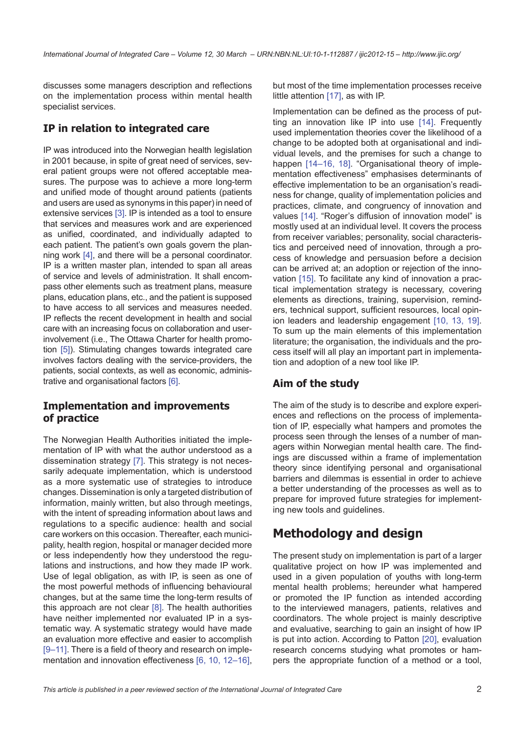discusses some managers description and reflections on the implementation process within mental health specialist services.

## **IP in relation to integrated care**

IP was introduced into the Norwegian health legislation in 2001 because, in spite of great need of services, several patient groups were not offered acceptable measures. The purpose was to achieve a more long-term and unified mode of thought around patients (patients and users are used as synonyms in this paper) in need of extensive services [[3](#page-10-0)]. IP is intended as a tool to ensure that services and measures work and are experienced as unified, coordinated, and individually adapted to each patient. The patient's own goals govern the planning work [\[4\]](#page-10-0), and there will be a personal coordinator. IP is a written master plan, intended to span all areas of service and levels of administration. It shall encompass other elements such as treatment plans, measure plans, education plans, etc., and the patient is supposed to have access to all services and measures needed. IP reflects the recent development in health and social care with an increasing focus on collaboration and userinvolvement (i.e., The Ottawa Charter for health promotion [\[5\]](#page-10-0)). Stimulating changes towards integrated care involves factors dealing with the service-providers, the patients, social contexts, as well as economic, administrative and organisational factors [\[6\]](#page-10-0).

### **Implementation and improvements of practice**

The Norwegian Health Authorities initiated the implementation of IP with what the author understood as a dissemination strategy [[7](#page-10-0)]. This strategy is not necessarily adequate implementation, which is understood as a more systematic use of strategies to introduce changes. Dissemination is only a targeted distribution of information, mainly written, but also through meetings, with the intent of spreading information about laws and regulations to a specific audience: health and social care workers on this occasion. Thereafter, each municipality, health region, hospital or manager decided more or less independently how they understood the regulations and instructions, and how they made IP work. Use of legal obligation, as with IP, is seen as one of the most powerful methods of influencing behavioural changes, but at the same time the long-term results of this approach are not clear [\[8\]](#page-10-0). The health authorities have neither implemented nor evaluated IP in a systematic way. A systematic strategy would have made an evaluation more effective and easier to accomplish [\[9–11\]](#page-10-0). There is a field of theory and research on implementation and innovation effectiveness [[6, 10](#page-10-0), [12–](#page-10-0)[16\]](#page-11-0),

but most of the time implementation processes receive little attention [[17\]](#page-11-0), as with IP.

Implementation can be defined as the process of putting an innovation like IP into use [\[14\]](#page-10-0). Frequently used implementation theories cover the likelihood of a change to be adopted both at organisational and individual levels, and the premises for such a change to happen [\[14–](#page-10-0)[16](#page-11-0), [18](#page-11-0)]. "Organisational theory of implementation effectiveness" emphasises determinants of effective implementation to be an organisation's readiness for change, quality of implementation policies and practices, climate, and congruency of innovation and values [\[14](#page-10-0)]. "Roger's diffusion of innovation model" is mostly used at an individual level. It covers the process from receiver variables; personality, social characteristics and perceived need of innovation, through a process of knowledge and persuasion before a decision can be arrived at; an adoption or rejection of the innovation [[15](#page-10-0)]. To facilitate any kind of innovation a practical implementation strategy is necessary, covering elements as directions, training, supervision, reminders, technical support, sufficient resources, local opinion leaders and leadership engagement [\[10](#page-10-0), [13](#page-10-0), [19](#page-11-0)]. To sum up the main elements of this implementation literature; the organisation, the individuals and the process itself will all play an important part in implementation and adoption of a new tool like IP.

### **Aim of the study**

The aim of the study is to describe and explore experiences and reflections on the process of implementation of IP, especially what hampers and promotes the process seen through the lenses of a number of managers within Norwegian mental health care. The findings are discussed within a frame of implementation theory since identifying personal and organisational barriers and dilemmas is essential in order to achieve a better understanding of the processes as well as to prepare for improved future strategies for implementing new tools and guidelines.

# **Methodology and design**

The present study on implementation is part of a larger qualitative project on how IP was implemented and used in a given population of youths with long-term mental health problems; hereunder what hampered or promoted the IP function as intended according to the interviewed managers, patients, relatives and coordinators. The whole project is mainly descriptive and evaluative, searching to gain an insight of how IP is put into action. According to Patton [\[20](#page-11-0)], evaluation research concerns studying what promotes or hampers the appropriate function of a method or a tool,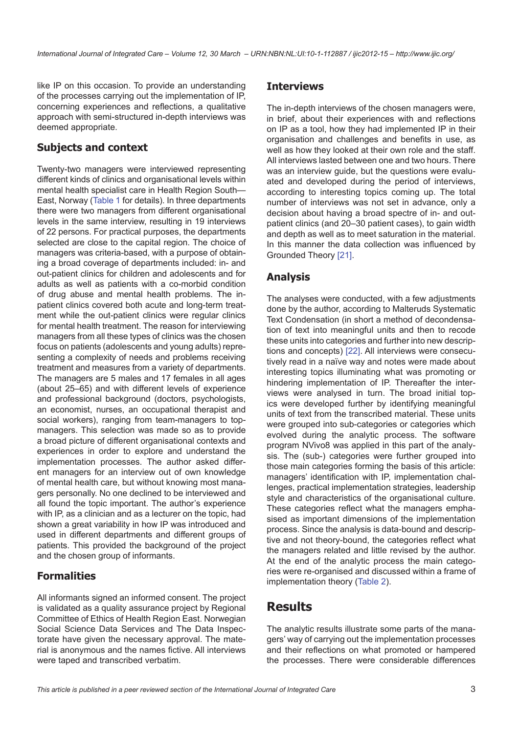like IP on this occasion. To provide an understanding of the processes carrying out the implementation of IP, concerning experiences and reflections, a qualitative approach with semi-structured in-depth interviews was deemed appropriate.

### **Subjects and context**

Twenty-two managers were interviewed representing different kinds of clinics and organisational levels within mental health specialist care in Health Region South— East, Norway ([Table 1](#page-3-0) for details). In three departments there were two managers from different organisational levels in the same interview, resulting in 19 interviews of 22 persons. For practical purposes, the departments selected are close to the capital region. The choice of managers was criteria-based, with a purpose of obtaining a broad coverage of departments included: in- and out-patient clinics for children and adolescents and for adults as well as patients with a co-morbid condition of drug abuse and mental health problems. The inpatient clinics covered both acute and long-term treatment while the out-patient clinics were regular clinics for mental health treatment. The reason for interviewing managers from all these types of clinics was the chosen focus on patients (adolescents and young adults) representing a complexity of needs and problems receiving treatment and measures from a variety of departments. The managers are 5 males and 17 females in all ages (about 25–65) and with different levels of experience and professional background (doctors, psychologists, an economist, nurses, an occupational therapist and social workers), ranging from team-managers to topmanagers. This selection was made so as to provide a broad picture of different organisational contexts and experiences in order to explore and understand the implementation processes. The author asked different managers for an interview out of own knowledge of mental health care, but without knowing most managers personally. No one declined to be interviewed and all found the topic important. The author's experience with IP, as a clinician and as a lecturer on the topic, had shown a great variability in how IP was introduced and used in different departments and different groups of patients. This provided the background of the project and the chosen group of informants.

### **Formalities**

All informants signed an informed consent. The project is validated as a quality assurance project by Regional Committee of Ethics of Health Region East. Norwegian Social Science Data Services and The Data Inspectorate have given the necessary approval. The material is anonymous and the names fictive. All interviews were taped and transcribed verbatim.

### **Interviews**

The in-depth interviews of the chosen managers were, in brief, about their experiences with and reflections on IP as a tool, how they had implemented IP in their organisation and challenges and benefits in use, as well as how they looked at their own role and the staff. All interviews lasted between one and two hours. There was an interview quide, but the questions were evaluated and developed during the period of interviews, according to interesting topics coming up. The total number of interviews was not set in advance, only a decision about having a broad spectre of in- and outpatient clinics (and 20–30 patient cases), to gain width and depth as well as to meet saturation in the material. In this manner the data collection was influenced by Grounded Theory [[21](#page-11-0)].

### **Analysis**

The analyses were conducted, with a few adjustments done by the author, according to Malteruds Systematic Text Condensation (in short a method of decondensation of text into meaningful units and then to recode these units into categories and further into new descriptions and concepts) [\[22](#page-11-0)]. All interviews were consecutively read in a naïve way and notes were made about interesting topics illuminating what was promoting or hindering implementation of IP. Thereafter the interviews were analysed in turn. The broad initial topics were developed further by identifying meaningful units of text from the transcribed material. These units were grouped into sub-categories or categories which evolved during the analytic process. The software program NVivo8 was applied in this part of the analysis. The (sub-) categories were further grouped into those main categories forming the basis of this article: managers' identification with IP, implementation challenges, practical implementation strategies, leadership style and characteristics of the organisational culture. These categories reflect what the managers emphasised as important dimensions of the implementation process. Since the analysis is data-bound and descriptive and not theory-bound, the categories reflect what the managers related and little revised by the author. At the end of the analytic process the main categories were re-organised and discussed within a frame of implementation theory ([Table 2\)](#page-5-0).

## **Results**

The analytic results illustrate some parts of the managers' way of carrying out the implementation processes and their reflections on what promoted or hampered the processes. There were considerable differences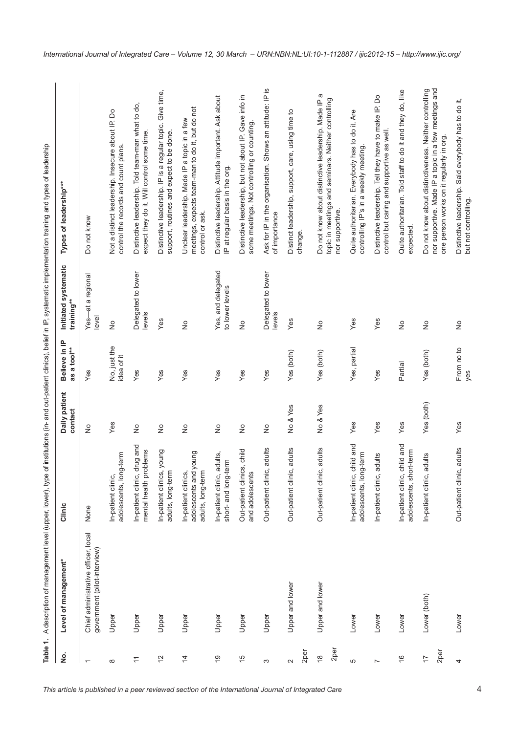Table 1. A description of management level (upper, lower), type of institutions (in- and out-patient clinics), belief in IP, systematic implementation training and types of leadership

<span id="page-3-0"></span>

| Table 1.                                           | A description of management level (upper, lower), type              |                                                                   |                            |                              |                                       | of institutions (in- and out-patient clinics), belief in IP, systematic implementation training and types of leadership                                     |
|----------------------------------------------------|---------------------------------------------------------------------|-------------------------------------------------------------------|----------------------------|------------------------------|---------------------------------------|-------------------------------------------------------------------------------------------------------------------------------------------------------------|
| غ<br>R                                             | Level of management*                                                | Clinic                                                            | Daily patient<br>contact   | Believe in IP<br>as a tool** | Initiated systematic<br>training**    | Types of leadership***                                                                                                                                      |
| $\overline{\phantom{0}}$                           | Chief administrative officer, local<br>government (pilot-interview) | None                                                              | $\stackrel{\circ}{\simeq}$ | Yes                          | -at a regional<br>level<br>$Yes-$     | Do not know                                                                                                                                                 |
| ${}^{\circ}$                                       | Upper                                                               | adolescents, long-term<br>In-patient clinic,                      | Yes                        | No, just the<br>idea of it   | $\frac{1}{2}$                         | Not a distinct leadership. Insecure about IP. Do<br>control the records and count plans.                                                                    |
| $\leftarrows$                                      | Upper                                                               | In-patient clinic, drug and<br>mental health problems             | $\frac{1}{2}$              | Yes                          | Delegated to lower<br>levels          | Distinctive leadership. Told team-man what to do,<br>expect they do it. Will control some time.                                                             |
| $\tilde{c}$                                        | Upper                                                               | In-patient clinics, young<br>adults, long-term                    | $\frac{1}{2}$              | Yes                          | Yes                                   | Distinctive leadership. IP is a regular topic. Give time,<br>support, routines and expect to be done.                                                       |
| $\overline{4}$                                     | Upper                                                               | adolescents and young<br>In-patient clinics,<br>adults, long-term | $\stackrel{\circ}{\simeq}$ | Yes                          | $\frac{1}{2}$                         | meetings, expects team-man to do it, but do not<br>Unclear leadership. Made IP a topic in a few<br>control or ask.                                          |
| $\frac{6}{5}$                                      | Upper                                                               | adults,<br>short- and long-term<br>In-patient clinic,             | $\frac{1}{2}$              | Yes                          | Yes, and delegated<br>to lower levels | Distinctive leadership. Attitude important. Ask about<br>IP at regular basis in the org.                                                                    |
| 15                                                 | Upper                                                               | Out-patient clinics, child<br>and adolescents                     | $\stackrel{\circ}{\simeq}$ | Yes                          | $\stackrel{\circ}{\simeq}$            | Distinctive leadership, but not about IP. Gave info in<br>some meetings. Not controlling or counting.                                                       |
| S                                                  | Upper                                                               | Out-patient clinic, adults                                        | $\stackrel{\circ}{\simeq}$ | Yes                          | Delegated to lower<br>levels          | Ask for IP in the organisation. Shows an attitude: IP is<br>of importance                                                                                   |
| 2per<br>$\sim$                                     | Upper and lower                                                     | Out-patient clinic, adults                                        | No & Yes                   | Yes (both)                   | Yes                                   | Distinct leadership, support, care, using time to<br>change.                                                                                                |
| 2 <sub>per</sub><br>$\overset{\infty}{\leftarrow}$ | Upper and lower                                                     | Out-patient clinic, adults                                        | No & Yes                   | Yes (both)                   | $\frac{1}{2}$                         | a<br>topic in meetings and seminars. Neither controlling<br>Do not know about distinctive leadership. Made IP<br>nor supportive.                            |
| 5                                                  | Lower                                                               | child and<br>ng-term<br>In-patient clinic,<br>adolescents, lor    | Yes                        | Yes, partial                 | Yes                                   | Quite authoritarian. Everybody has to do it. Are<br>controlling IP's in a weekly meeting.                                                                   |
| $\overline{ }$                                     | Lower                                                               | adults<br>In-patient clinic,                                      | Yes                        | Yes                          | Yes                                   | Distinctive leadership. Tell they have to make IP. Do<br>control but caring and supportive as well.                                                         |
| $\frac{6}{5}$                                      | Lower                                                               | child and<br>adolescents, short-term<br>In-patient clinic,        | Yes                        | Partial                      | $\stackrel{\circ}{\simeq}$            | Quite authoritarian. Told staff to do it and they do, like<br>expected.                                                                                     |
| 2per<br>$\overline{1}$                             | Lower (both)                                                        | adults<br>In-patient clinic,                                      | Yes (both)                 | Yes (both)                   | $\stackrel{\circ}{\simeq}$            | nor supportive. Made IP a topic in a few meetings and<br>Do not know about distinctiveness. Neither controlling<br>one person works on it regularly in org. |
| 4                                                  | Lower                                                               | Out-patient clinic, adults                                        | Yes                        | From no to<br>yes            | $\stackrel{\circ}{\simeq}$            | Distinctive leadership. Said everybody has to do it,<br>but not controlling.                                                                                |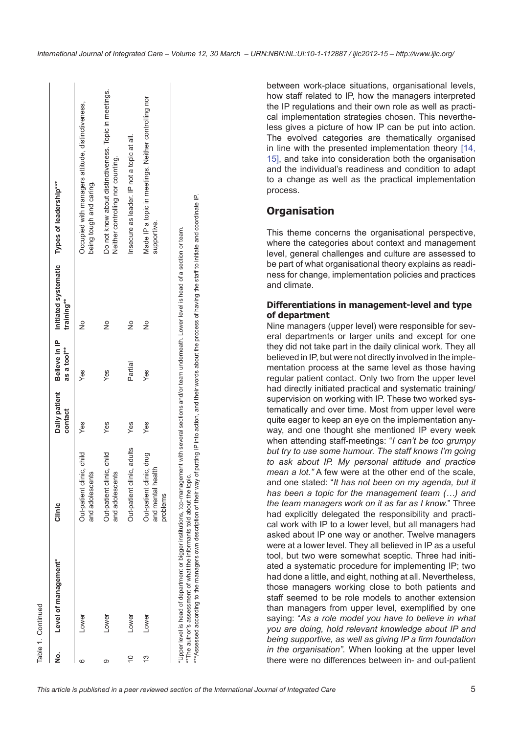| í |
|---|
|   |
|   |
|   |
|   |
|   |
|   |

| ġ  | Level of management* | Clinic                                                    | Daily patient<br>contact | as a tool** | training**    | Believe in IP Initiated systematic Types of leadership***                                  |
|----|----------------------|-----------------------------------------------------------|--------------------------|-------------|---------------|--------------------------------------------------------------------------------------------|
|    | Lower                | Out-patient clinic, child<br>and adolescents              | Yes                      | Yes         | $\frac{1}{2}$ | Occupied with managers attitude, distinctiveness,<br>being tough and caring.               |
|    | LOWEr                | Out-patient clinic, child<br>and adolescents              | Yes                      | Yes         | $\frac{1}{2}$ | Do not know about distinctiveness. Topic in meetings.<br>Neither controlling nor counting. |
| ă  | Lower                | Out-patient clinic, adults                                | Yes                      | Partial     | $\frac{1}{2}$ | Insecure as leader. IP not a topic at all.                                                 |
| 13 | Lower                | Out-patient clinic, drug<br>and mental health<br>problems | Yes                      | Yes         | $\frac{1}{2}$ | Made IP a topic in meetings. Neither controlling nor<br>supportive.                        |

between work-place situations, organisational levels, how staff related to IP, how the managers interpreted the IP regulations and their own role as well as practical implementation strategies chosen. This nevertheless gives a picture of how IP can be put into action. The evolved categories are thematically organised in line with the presented implementation theory [[14,](#page-10-0) [15](#page-10-0)], and take into consideration both the organisation and the individual's readiness and condition to adapt to a change as well as the practical implementation process.

## **Organisation**

This theme concerns the organisational perspective, where the categories about context and management level, general challenges and culture are assessed to be part of what organisational theory explains as readiness for change, implementation policies and practices and climate.

### **Differentiations in management-level and type of department**

Nine managers (upper level) were responsible for several departments or larger units and except for one they did not take part in the daily clinical work. They all believed in IP, but were not directly involved in the implementation process at the same level as those having regular patient contact. Only two from the upper level had directly initiated practical and systematic training/ supervision on working with IP. These two worked systematically and over time. Most from upper level were quite eager to keep an eye on the implementation anyway, and one thought she mentioned IP every week when attending staff-meetings: "*I can't be too grumpy but try to use some humour. The staff knows I'm going to ask about IP. My personal attitude and practice mean a lot."* A few were at the other end of the scale, and one stated: "*It has not been on my agenda, but it has been a topic for the management team (…) and the team managers work on it as far as I know.*" Three had explicitly delegated the responsibility and practical work with IP to a lower level, but all managers had asked about IP one way or another. Twelve managers were at a lower level. They all believed in IP as a useful tool, but two were somewhat sceptic. Three had initiated a systematic procedure for implementing IP; two had done a little, and eight, nothing at all. Nevertheless, those managers working close to both patients and staff seemed to be role models to another extension than managers from upper level, exemplified by one saying: "*As a role model you have to believe in what you are doing, hold relevant knowledge about IP and being supportive, as well as giving IP a firm foundation in the organisation".* When looking at the upper level there were no differences between in- and out-patient

\*\*\*Assessed according to the managers own description of their way of putting IP into action, and their words about the process of having the staff to initiate and coordinate IP.

\*\*Assessed according to the managers own description of their way of putting IP into action, and their words about the process of having the staff to initiate and coordinate IP.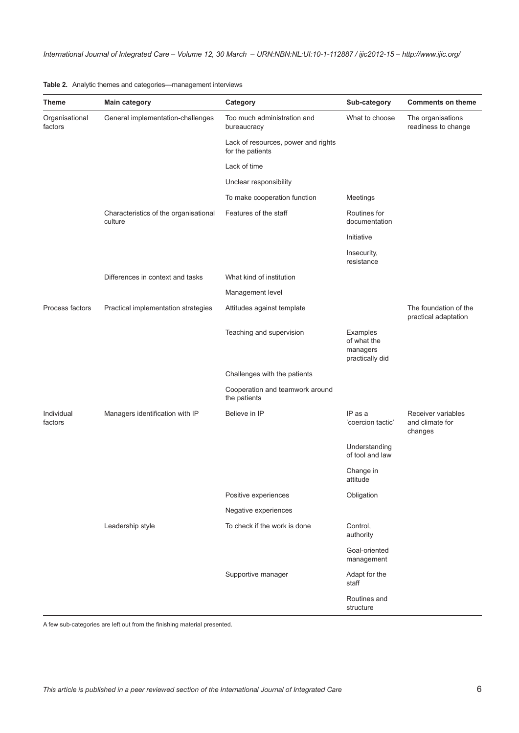<span id="page-5-0"></span>

| Theme                     | <b>Main category</b>                             | Category                                                | Sub-category                                           | <b>Comments on theme</b>                         |
|---------------------------|--------------------------------------------------|---------------------------------------------------------|--------------------------------------------------------|--------------------------------------------------|
| Organisational<br>factors | General implementation-challenges                | Too much administration and<br>bureaucracy              | What to choose                                         | The organisations<br>readiness to change         |
|                           |                                                  | Lack of resources, power and rights<br>for the patients |                                                        |                                                  |
|                           |                                                  | Lack of time                                            |                                                        |                                                  |
|                           |                                                  | Unclear responsibility                                  |                                                        |                                                  |
|                           |                                                  | To make cooperation function                            | Meetings                                               |                                                  |
|                           | Characteristics of the organisational<br>culture | Features of the staff                                   | Routines for<br>documentation                          |                                                  |
|                           |                                                  |                                                         | Initiative                                             |                                                  |
|                           |                                                  |                                                         | Insecurity,<br>resistance                              |                                                  |
|                           | Differences in context and tasks                 | What kind of institution                                |                                                        |                                                  |
|                           |                                                  | Management level                                        |                                                        |                                                  |
| Process factors           | Practical implementation strategies              | Attitudes against template                              |                                                        | The foundation of the<br>practical adaptation    |
|                           |                                                  | Teaching and supervision                                | Examples<br>of what the<br>managers<br>practically did |                                                  |
|                           |                                                  | Challenges with the patients                            |                                                        |                                                  |
|                           |                                                  | Cooperation and teamwork around<br>the patients         |                                                        |                                                  |
| Individual<br>factors     | Managers identification with IP                  | Believe in IP                                           | $IP$ as a<br>'coercion tactic'                         | Receiver variables<br>and climate for<br>changes |
|                           |                                                  |                                                         | Understanding<br>of tool and law                       |                                                  |
|                           |                                                  |                                                         | Change in<br>attitude                                  |                                                  |
|                           |                                                  | Positive experiences                                    | Obligation                                             |                                                  |
|                           |                                                  | Negative experiences                                    |                                                        |                                                  |
|                           | Leadership style                                 | To check if the work is done                            | Control,<br>authority                                  |                                                  |
|                           |                                                  |                                                         | Goal-oriented<br>management                            |                                                  |
|                           |                                                  | Supportive manager                                      | Adapt for the<br>staff                                 |                                                  |
|                           |                                                  |                                                         | Routines and<br>structure                              |                                                  |

A few sub-categories are left out from the finishing material presented.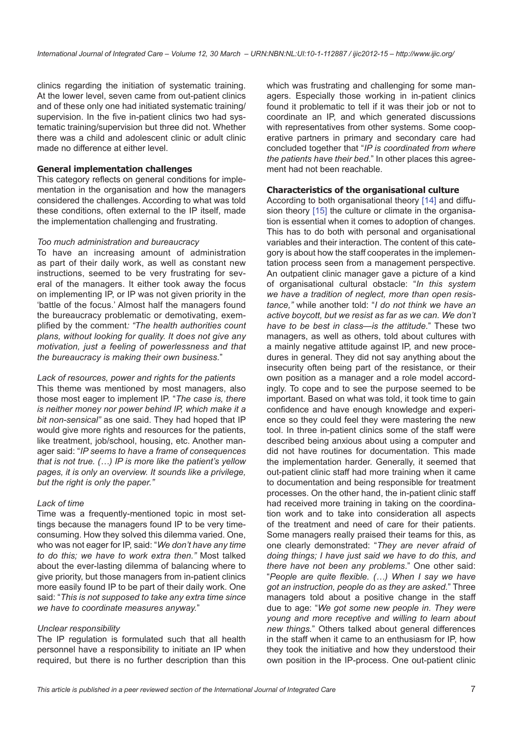clinics regarding the initiation of systematic training. At the lower level, seven came from out-patient clinics and of these only one had initiated systematic training/ supervision. In the five in-patient clinics two had systematic training/supervision but three did not. Whether there was a child and adolescent clinic or adult clinic made no difference at either level.

#### **General implementation challenges**

This category reflects on general conditions for implementation in the organisation and how the managers considered the challenges. According to what was told these conditions, often external to the IP itself, made the implementation challenging and frustrating.

#### *Too much administration and bureaucracy*

To have an increasing amount of administration as part of their daily work, as well as constant new instructions, seemed to be very frustrating for several of the managers. It either took away the focus on implementing IP, or IP was not given priority in the 'battle of the focus.' Almost half the managers found the bureaucracy problematic or demotivating, exemplified by the comment*: "The health authorities count plans, without looking for quality. It does not give any motivation, just a feeling of powerlessness and that the bureaucracy is making their own business.*"

*Lack of resources, power and rights for the patients* This theme was mentioned by most managers, also those most eager to implement IP. "*The case is, there is neither money nor power behind IP, which make it a bit non-sensical"* as one said. They had hoped that IP would give more rights and resources for the patients, like treatment, job/school, housing, etc. Another manager said: "*IP seems to have a frame of consequences that is not true. (…) IP is more like the patient's yellow pages, it is only an overview. It sounds like a privilege, but the right is only the paper."*

#### *Lack of time*

Time was a frequently-mentioned topic in most settings because the managers found IP to be very timeconsuming. How they solved this dilemma varied. One, who was not eager for IP, said: "*We don't have any time to do this; we have to work extra then."* Most talked about the ever-lasting dilemma of balancing where to give priority, but those managers from in-patient clinics more easily found IP to be part of their daily work. One said: "*This is not supposed to take any extra time since we have to coordinate measures anyway.*"

#### *Unclear responsibility*

The IP regulation is formulated such that all health personnel have a responsibility to initiate an IP when required, but there is no further description than this

which was frustrating and challenging for some managers. Especially those working in in-patient clinics found it problematic to tell if it was their job or not to coordinate an IP, and which generated discussions with representatives from other systems. Some cooperative partners in primary and secondary care had concluded together that "*IP is coordinated from where the patients have their bed*." In other places this agreement had not been reachable.

#### **Characteristics of the organisational culture**

According to both organisational theory [[14\]](#page-10-0) and diffu-sion theory [\[15\]](#page-10-0) the culture or climate in the organisation is essential when it comes to adoption of changes. This has to do both with personal and organisational variables and their interaction. The content of this category is about how the staff cooperates in the implementation process seen from a management perspective. An outpatient clinic manager gave a picture of a kind of organisational cultural obstacle: "*In this system we have a tradition of neglect, more than open resistance,"* while another told: "*I do not think we have an active boycott, but we resist as far as we can. We don't have to be best in class—is the attitude.*" These two managers, as well as others, told about cultures with a mainly negative attitude against IP, and new procedures in general. They did not say anything about the insecurity often being part of the resistance, or their own position as a manager and a role model accordingly. To cope and to see the purpose seemed to be important. Based on what was told, it took time to gain confidence and have enough knowledge and experience so they could feel they were mastering the new tool. In three in-patient clinics some of the staff were described being anxious about using a computer and did not have routines for documentation. This made the implementation harder. Generally, it seemed that out-patient clinic staff had more training when it came to documentation and being responsible for treatment processes. On the other hand, the in-patient clinic staff had received more training in taking on the coordination work and to take into consideration all aspects of the treatment and need of care for their patients. Some managers really praised their teams for this, as one clearly demonstrated: "*They are never afraid of doing things; I have just said we have to do this, and there have not been any problems*." One other said: "*People are quite flexible. (…) When I say we have got an instruction, people do as they are asked.*" Three managers told about a positive change in the staff due to age: "*We got some new people in. They were young and more receptive and willing to learn about new things.*" Others talked about general differences in the staff when it came to an enthusiasm for IP, how they took the initiative and how they understood their own position in the IP-process. One out-patient clinic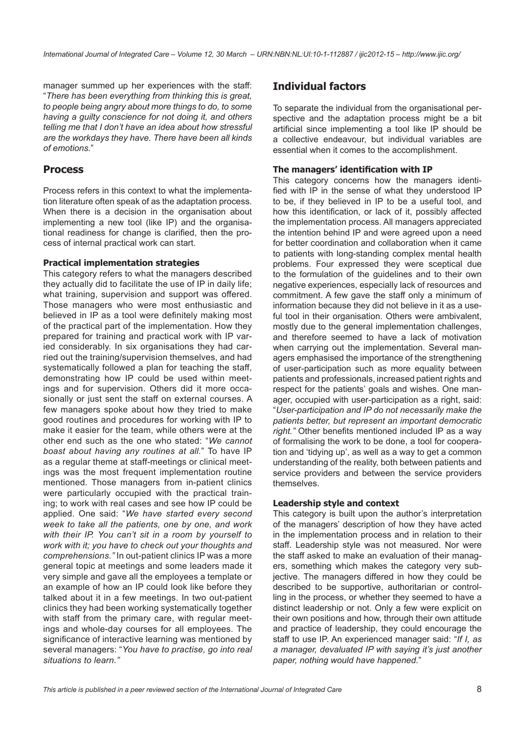manager summed up her experiences with the staff: "*There has been everything from thinking this is great, to people being angry about more things to do, to some having a guilty conscience for not doing it, and others telling me that I don't have an idea about how stressful are the workdays they have. There have been all kinds of emotions.*"

### **Process**

Process refers in this context to what the implementation literature often speak of as the adaptation process. When there is a decision in the organisation about implementing a new tool (like IP) and the organisational readiness for change is clarified, then the process of internal practical work can start.

#### **Practical implementation strategies**

This category refers to what the managers described they actually did to facilitate the use of IP in daily life; what training, supervision and support was offered. Those managers who were most enthusiastic and believed in IP as a tool were definitely making most of the practical part of the implementation. How they prepared for training and practical work with IP varied considerably. In six organisations they had carried out the training/supervision themselves, and had systematically followed a plan for teaching the staff, demonstrating how IP could be used within meetings and for supervision. Others did it more occasionally or just sent the staff on external courses. A few managers spoke about how they tried to make good routines and procedures for working with IP to make it easier for the team, while others were at the other end such as the one who stated: "*We cannot boast about having any routines at all.*" To have IP as a regular theme at staff-meetings or clinical meetings was the most frequent implementation routine mentioned. Those managers from in-patient clinics were particularly occupied with the practical training; to work with real cases and see how IP could be applied. One said: "*We have started every second week to take all the patients, one by one, and work with their IP. You can't sit in a room by yourself to work with it; you have to check out your thoughts and comprehensions."* In out-patient clinics IP was a more general topic at meetings and some leaders made it very simple and gave all the employees a template or an example of how an IP could look like before they talked about it in a few meetings. In two out-patient clinics they had been working systematically together with staff from the primary care, with regular meetings and whole-day courses for all employees. The significance of interactive learning was mentioned by several managers: "*You have to practise, go into real situations to learn."*

### **Individual factors**

To separate the individual from the organisational perspective and the adaptation process might be a bit artificial since implementing a tool like IP should be a collective endeavour, but individual variables are essential when it comes to the accomplishment.

### **The managers' identification with IP**

This category concerns how the managers identified with IP in the sense of what they understood IP to be, if they believed in IP to be a useful tool, and how this identification, or lack of it, possibly affected the implementation process. All managers appreciated the intention behind IP and were agreed upon a need for better coordination and collaboration when it came to patients with long-standing complex mental health problems. Four expressed they were sceptical due to the formulation of the guidelines and to their own negative experiences, especially lack of resources and commitment. A few gave the staff only a minimum of information because they did not believe in it as a useful tool in their organisation. Others were ambivalent, mostly due to the general implementation challenges, and therefore seemed to have a lack of motivation when carrying out the implementation. Several managers emphasised the importance of the strengthening of user-participation such as more equality between patients and professionals, increased patient rights and respect for the patients' goals and wishes. One manager, occupied with user-participation as a right, said: "*User-participation and IP do not necessarily make the patients better, but represent an important democratic right."* Other benefits mentioned included IP as a way of formalising the work to be done, a tool for cooperation and 'tidying up', as well as a way to get a common understanding of the reality, both between patients and service providers and between the service providers themselves.

#### **Leadership style and context**

This category is built upon the author's interpretation of the managers' description of how they have acted in the implementation process and in relation to their staff. Leadership style was not measured. Nor were the staff asked to make an evaluation of their managers, something which makes the category very subjective. The managers differed in how they could be described to be supportive, authoritarian or controlling in the process, or whether they seemed to have a distinct leadership or not. Only a few were explicit on their own positions and how, through their own attitude and practice of leadership, they could encourage the staff to use IP. An experienced manager said: "*If I, as a manager, devaluated IP with saying it's just another paper, nothing would have happened.*"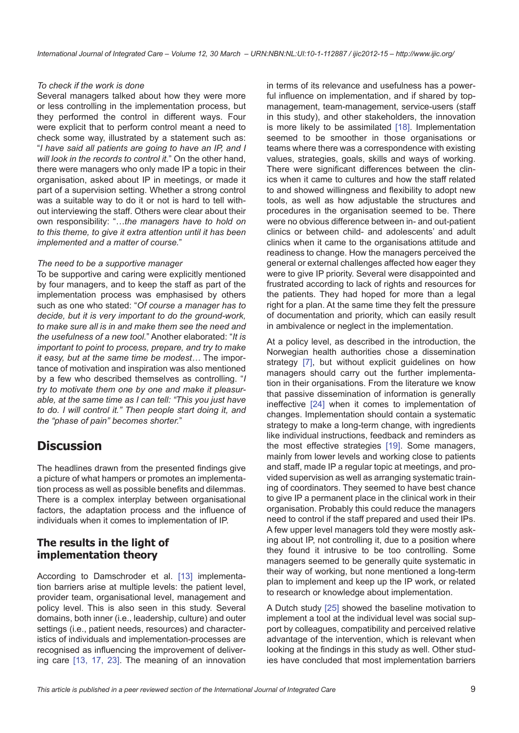#### *To check if the work is done*

Several managers talked about how they were more or less controlling in the implementation process, but they performed the control in different ways. Four were explicit that to perform control meant a need to check some way, illustrated by a statement such as: "*I have said all patients are going to have an IP, and I will look in the records to control it.*" On the other hand, there were managers who only made IP a topic in their organisation, asked about IP in meetings, or made it part of a supervision setting. Whether a strong control was a suitable way to do it or not is hard to tell without interviewing the staff. Others were clear about their own responsibility: "…*the managers have to hold on to this theme, to give it extra attention until it has been implemented and a matter of course.*"

#### *The need to be a supportive manager*

To be supportive and caring were explicitly mentioned by four managers, and to keep the staff as part of the implementation process was emphasised by others such as one who stated: "*Of course a manager has to decide, but it is very important to do the ground-work, to make sure all is in and make them see the need and the usefulness of a new tool.*" Another elaborated: "*It is important to point to process, prepare, and try to make it easy, but at the same time be modest…* The importance of motivation and inspiration was also mentioned by a few who described themselves as controlling. "*I try to motivate them one by one and make it pleasurable, at the same time as I can tell: "This you just have to do. I will control it." Then people start doing it, and the "phase of pain" becomes shorter.*"

## **Discussion**

The headlines drawn from the presented findings give a picture of what hampers or promotes an implementation process as well as possible benefits and dilemmas. There is a complex interplay between organisational factors, the adaptation process and the influence of individuals when it comes to implementation of IP.

### **The results in the light of implementation theory**

According to Damschroder et al. [\[13](#page-10-0)] implementation barriers arise at multiple levels: the patient level, provider team, organisational level, management and policy level. This is also seen in this study. Several domains, both inner (i.e., leadership, culture) and outer settings (i.e., patient needs, resources) and characteristics of individuals and implementation-processes are recognised as influencing the improvement of delivering care [[13,](#page-10-0) [17](#page-11-0), [23](#page-11-0)]. The meaning of an innovation in terms of its relevance and usefulness has a powerful influence on implementation, and if shared by topmanagement, team-management, service-users (staff in this study), and other stakeholders, the innovation is more likely to be assimilated [\[18](#page-11-0)]. Implementation seemed to be smoother in those organisations or teams where there was a correspondence with existing values, strategies, goals, skills and ways of working. There were significant differences between the clinics when it came to cultures and how the staff related to and showed willingness and flexibility to adopt new tools, as well as how adjustable the structures and procedures in the organisation seemed to be. There were no obvious difference between in- and out-patient clinics or between child- and adolescents' and adult clinics when it came to the organisations attitude and readiness to change. How the managers perceived the general or external challenges affected how eager they were to give IP priority. Several were disappointed and frustrated according to lack of rights and resources for the patients. They had hoped for more than a legal right for a plan. At the same time they felt the pressure of documentation and priority, which can easily result in ambivalence or neglect in the implementation.

At a policy level, as described in the introduction, the Norwegian health authorities chose a dissemination strategy [\[7\]](#page-10-0), but without explicit guidelines on how managers should carry out the further implementation in their organisations. From the literature we know that passive dissemination of information is generally ineffective [[24\]](#page-11-0) when it comes to implementation of changes. Implementation should contain a systematic strategy to make a long-term change, with ingredients like individual instructions, feedback and reminders as the most effective strategies [\[19\]](#page-11-0). Some managers, mainly from lower levels and working close to patients and staff, made IP a regular topic at meetings, and provided supervision as well as arranging systematic training of coordinators. They seemed to have best chance to give IP a permanent place in the clinical work in their organisation. Probably this could reduce the managers need to control if the staff prepared and used their IPs. A few upper level managers told they were mostly asking about IP, not controlling it, due to a position where they found it intrusive to be too controlling. Some managers seemed to be generally quite systematic in their way of working, but none mentioned a long-term plan to implement and keep up the IP work, or related to research or knowledge about implementation.

A Dutch study [\[25](#page-11-0)] showed the baseline motivation to implement a tool at the individual level was social support by colleagues, compatibility and perceived relative advantage of the intervention, which is relevant when looking at the findings in this study as well. Other studies have concluded that most implementation barriers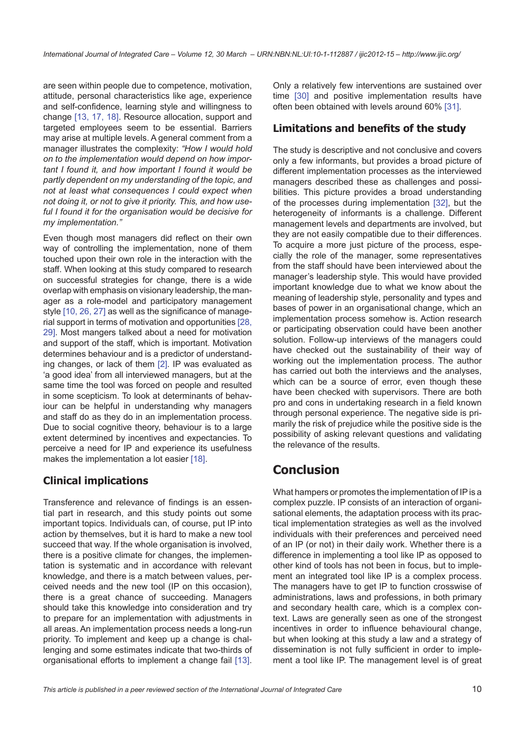are seen within people due to competence, motivation, attitude, personal characteristics like age, experience and self-confidence, learning style and willingness to change [\[13](#page-10-0), [17](#page-11-0), [18](#page-11-0)]. Resource allocation, support and targeted employees seem to be essential. Barriers may arise at multiple levels. A general comment from a manager illustrates the complexity: *"How I would hold on to the implementation would depend on how important I found it, and how important I found it would be partly dependent on my understanding of the topic, and not at least what consequences I could expect when not doing it, or not to give it priority. This, and how useful I found it for the organisation would be decisive for my implementation."*

Even though most managers did reflect on their own way of controlling the implementation, none of them touched upon their own role in the interaction with the staff. When looking at this study compared to research on successful strategies for change, there is a wide overlap with emphasis on visionary leadership, the manager as a role-model and participatory management style [\[10](#page-10-0), [26](#page-11-0), [27](#page-11-0)] as well as the significance of managerial support in terms of motivation and opportunities [\[28](#page-11-0), [29\]](#page-11-0). Most mangers talked about a need for motivation and support of the staff, which is important. Motivation determines behaviour and is a predictor of understanding changes, or lack of them [[2](#page-10-0)]. IP was evaluated as 'a good idea' from all interviewed managers, but at the same time the tool was forced on people and resulted in some scepticism. To look at determinants of behaviour can be helpful in understanding why managers and staff do as they do in an implementation process. Due to social cognitive theory, behaviour is to a large extent determined by incentives and expectancies. To perceive a need for IP and experience its usefulness makes the implementation a lot easier [[18\]](#page-11-0).

### **Clinical implications**

Transference and relevance of findings is an essential part in research, and this study points out some important topics. Individuals can, of course, put IP into action by themselves, but it is hard to make a new tool succeed that way. If the whole organisation is involved, there is a positive climate for changes, the implementation is systematic and in accordance with relevant knowledge, and there is a match between values, perceived needs and the new tool (IP on this occasion), there is a great chance of succeeding. Managers should take this knowledge into consideration and try to prepare for an implementation with adjustments in all areas. An implementation process needs a long-run priority. To implement and keep up a change is challenging and some estimates indicate that two-thirds of organisational efforts to implement a change fail [\[13\]](#page-10-0).

Only a relatively few interventions are sustained over time [[30\]](#page-11-0) and positive implementation results have often been obtained with levels around 60% [[31\]](#page-11-0).

### **Limitations and benefits of the study**

The study is descriptive and not conclusive and covers only a few informants, but provides a broad picture of different implementation processes as the interviewed managers described these as challenges and possibilities. This picture provides a broad understanding of the processes during implementation [\[32](#page-11-0)], but the heterogeneity of informants is a challenge. Different management levels and departments are involved, but they are not easily compatible due to their differences. To acquire a more just picture of the process, especially the role of the manager, some representatives from the staff should have been interviewed about the manager's leadership style. This would have provided important knowledge due to what we know about the meaning of leadership style, personality and types and bases of power in an organisational change, which an implementation process somehow is. Action research or participating observation could have been another solution. Follow-up interviews of the managers could have checked out the sustainability of their way of working out the implementation process. The author has carried out both the interviews and the analyses, which can be a source of error, even though these have been checked with supervisors. There are both pro and cons in undertaking research in a field known through personal experience. The negative side is primarily the risk of prejudice while the positive side is the possibility of asking relevant questions and validating the relevance of the results.

# **Conclusion**

What hampers or promotes the implementation of IP is a complex puzzle. IP consists of an interaction of organisational elements, the adaptation process with its practical implementation strategies as well as the involved individuals with their preferences and perceived need of an IP (or not) in their daily work. Whether there is a difference in implementing a tool like IP as opposed to other kind of tools has not been in focus, but to implement an integrated tool like IP is a complex process. The managers have to get IP to function crosswise of administrations, laws and professions, in both primary and secondary health care, which is a complex context. Laws are generally seen as one of the strongest incentives in order to influence behavioural change, but when looking at this study a law and a strategy of dissemination is not fully sufficient in order to implement a tool like IP. The management level is of great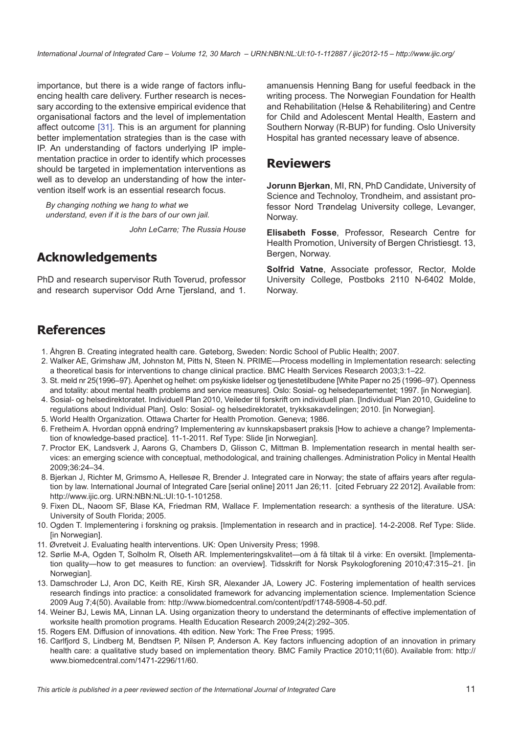<span id="page-10-0"></span>importance, but there is a wide range of factors influencing health care delivery. Further research is necessary according to the extensive empirical evidence that organisational factors and the level of implementation affect outcome [\[31](#page-11-0)]. This is an argument for planning better implementation strategies than is the case with IP. An understanding of factors underlying IP implementation practice in order to identify which processes should be targeted in implementation interventions as well as to develop an understanding of how the intervention itself work is an essential research focus.

*By changing nothing we hang to what we understand, even if it is the bars of our own jail.*

*John LeCarre; The Russia House*

# **Acknowledgements**

PhD and research supervisor Ruth Toverud, professor and research supervisor Odd Arne Tjersland, and 1. amanuensis Henning Bang for useful feedback in the writing process. The Norwegian Foundation for Health and Rehabilitation (Helse & Rehabilitering) and Centre for Child and Adolescent Mental Health, Eastern and Southern Norway (R-BUP) for funding. Oslo University Hospital has granted necessary leave of absence.

## **Reviewers**

**Jorunn Bjerkan**, MI, RN, PhD Candidate, University of Science and Technoloy, Trondheim, and assistant professor Nord Trøndelag University college, Levanger, Norway.

**Elisabeth Fosse**, Professor, Research Centre for Health Promotion, University of Bergen Christiesgt. 13, Bergen, Norway.

**Solfrid Vatne**, Associate professor, Rector, Molde University College, Postboks 2110 N-6402 Molde, Norway.

# **References**

- 1. Åhgren B. Creating integrated health care. Gøteborg, Sweden: Nordic School of Public Health; 2007.
- 2. Walker AE, Grimshaw JM, Johnston M, Pitts N, Steen N. PRIME—Process modelling in Implementation research: selecting a theoretical basis for interventions to change clinical practice. BMC Health Services Research 2003;3:1–22.
- 3. St. meld nr 25(1996–97). Åpenhet og helhet: om psykiske lidelser og tjenestetilbudene [White Paper no 25 (1996–97). Openness and totality: about mental health problems and service measures]. Oslo: Sosial- og helsedepartementet; 1997. [in Norwegian].
- 4. Sosial- og helsedirektoratet. Individuell Plan 2010, Veileder til forskrift om individuell plan. [Individual Plan 2010, Guideline to regulations about Individual Plan]. Oslo: Sosial- og helsedirektoratet, trykksakavdelingen; 2010. [in Norwegian].
- 5. World Health Organization. Ottawa Charter for Health Promotion. Geneva; 1986.
- 6. Fretheim A. Hvordan oppnå endring? Implementering av kunnskapsbasert praksis [How to achieve a change? Implementation of knowledge-based practice]. 11-1-2011. Ref Type: Slide [in Norwegian].
- 7. Proctor EK, Landsverk J, Aarons G, Chambers D, Glisson C, Mittman B. Implementation research in mental health services: an emerging science with conceptual, methodological, and training challenges. Administration Policy in Mental Health 2009;36:24–34.
- 8. Bjerkan J, Richter M, Grimsmo A, Hellesøe R, Brender J. Integrated care in Norway; the state of affairs years after regulation by law. International Journal of Integrated Care [serial online] 2011 Jan 26;11. [cited February 22 2012]. Available from: [http://www.ijic.org.](http://www.ijic.org) [URN:NBN:NL:UI:10-1-101258.](http://persistent-identifier.nl/?identifier=URN:NBN:NL:UI:10-1-101258)
- 9. Fixen DL, Naoom SF, Blase KA, Friedman RM, Wallace F. Implementation research: a synthesis of the literature. USA: University of South Florida; 2005.
- 10. Ogden T. Implementering i forskning og praksis. [Implementation in research and in practice]. 14-2-2008. Ref Type: Slide. [in Norwegian].
- 11. Øvretveit J. Evaluating health interventions. UK: Open University Press; 1998.
- 12. Sørlie M-A, Ogden T, Solholm R, Olseth AR. Implementeringskvalitet—om å få tiltak til å virke: En oversikt. [Implementation quality—how to get measures to function: an overview]. Tidsskrift for Norsk Psykologforening 2010;47:315–21. [in Norwegian].
- 13. Damschroder LJ, Aron DC, Keith RE, Kirsh SR, Alexander JA, Lowery JC. Fostering implementation of health services research findings into practice: a consolidated framework for advancing implementation science. Implementation Science 2009 Aug 7;4(50). Available from: [http://www.biomedcentral.com/content/pdf/1748-5908-4-50.pdf.](http://www.biomedcentral.com/content/pdf/1748-5908-4-50.pdf)
- 14. Weiner BJ, Lewis MA, Linnan LA. Using organization theory to understand the determinants of effective implementation of worksite health promotion programs. Health Education Research 2009;24(2):292–305.
- 15. Rogers EM. Diffusion of innovations. 4th edition. New York: The Free Press; 1995.
- 16. Carlfjord S, Lindberg M, Bendtsen P, Nilsen P, Anderson A. Key factors influencing adoption of an innovation in primary health care: a qualitative study based on implementation theory. BMC Family Practice 2010;11(60). Available from: [http://](http://www.biomedcentral.com/1471-2296/11/60) [www.biomedcentral.com/1471-2296/11/60.](http://www.biomedcentral.com/1471-2296/11/60)